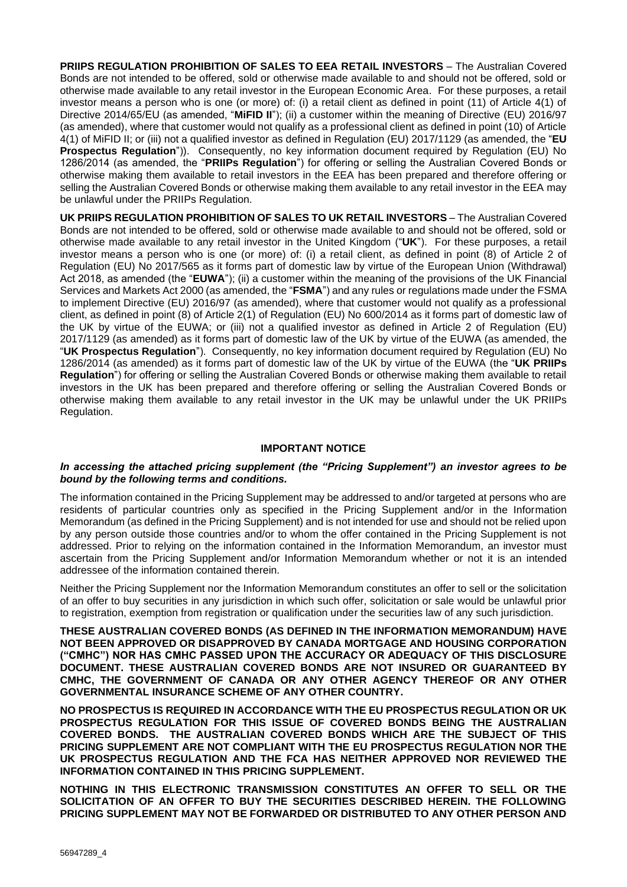**PRIIPS REGULATION PROHIBITION OF SALES TO EEA RETAIL INVESTORS** – The Australian Covered Bonds are not intended to be offered, sold or otherwise made available to and should not be offered, sold or otherwise made available to any retail investor in the European Economic Area. For these purposes, a retail investor means a person who is one (or more) of: (i) a retail client as defined in point (11) of Article 4(1) of Directive 2014/65/EU (as amended, "**MiFID II**"); (ii) a customer within the meaning of Directive (EU) 2016/97 (as amended), where that customer would not qualify as a professional client as defined in point (10) of Article 4(1) of MiFID II; or (iii) not a qualified investor as defined in Regulation (EU) 2017/1129 (as amended, the "**EU Prospectus Regulation**")). Consequently, no key information document required by Regulation (EU) No 1286/2014 (as amended, the "**PRIIPs Regulation**") for offering or selling the Australian Covered Bonds or otherwise making them available to retail investors in the EEA has been prepared and therefore offering or selling the Australian Covered Bonds or otherwise making them available to any retail investor in the EEA may be unlawful under the PRIIPs Regulation.

**UK PRIIPS REGULATION PROHIBITION OF SALES TO UK RETAIL INVESTORS** – The Australian Covered Bonds are not intended to be offered, sold or otherwise made available to and should not be offered, sold or otherwise made available to any retail investor in the United Kingdom ("**UK**"). For these purposes, a retail investor means a person who is one (or more) of: (i) a retail client, as defined in point (8) of Article 2 of Regulation (EU) No 2017/565 as it forms part of domestic law by virtue of the European Union (Withdrawal) Act 2018, as amended (the "**EUWA**"); (ii) a customer within the meaning of the provisions of the UK Financial Services and Markets Act 2000 (as amended, the "**FSMA**") and any rules or regulations made under the FSMA to implement Directive (EU) 2016/97 (as amended), where that customer would not qualify as a professional client, as defined in point (8) of Article 2(1) of Regulation (EU) No 600/2014 as it forms part of domestic law of the UK by virtue of the EUWA; or (iii) not a qualified investor as defined in Article 2 of Regulation (EU) 2017/1129 (as amended) as it forms part of domestic law of the UK by virtue of the EUWA (as amended, the "**UK Prospectus Regulation**"). Consequently, no key information document required by Regulation (EU) No 1286/2014 (as amended) as it forms part of domestic law of the UK by virtue of the EUWA (the "**UK PRIIPs Regulation**") for offering or selling the Australian Covered Bonds or otherwise making them available to retail investors in the UK has been prepared and therefore offering or selling the Australian Covered Bonds or otherwise making them available to any retail investor in the UK may be unlawful under the UK PRIIPs Regulation.

## **IMPORTANT NOTICE**

#### *In accessing the attached pricing supplement (the "Pricing Supplement") an investor agrees to be bound by the following terms and conditions.*

The information contained in the Pricing Supplement may be addressed to and/or targeted at persons who are residents of particular countries only as specified in the Pricing Supplement and/or in the Information Memorandum (as defined in the Pricing Supplement) and is not intended for use and should not be relied upon by any person outside those countries and/or to whom the offer contained in the Pricing Supplement is not addressed. Prior to relying on the information contained in the Information Memorandum, an investor must ascertain from the Pricing Supplement and/or Information Memorandum whether or not it is an intended addressee of the information contained therein.

Neither the Pricing Supplement nor the Information Memorandum constitutes an offer to sell or the solicitation of an offer to buy securities in any jurisdiction in which such offer, solicitation or sale would be unlawful prior to registration, exemption from registration or qualification under the securities law of any such jurisdiction.

**THESE AUSTRALIAN COVERED BONDS (AS DEFINED IN THE INFORMATION MEMORANDUM) HAVE NOT BEEN APPROVED OR DISAPPROVED BY CANADA MORTGAGE AND HOUSING CORPORATION ("CMHC") NOR HAS CMHC PASSED UPON THE ACCURACY OR ADEQUACY OF THIS DISCLOSURE DOCUMENT. THESE AUSTRALIAN COVERED BONDS ARE NOT INSURED OR GUARANTEED BY CMHC, THE GOVERNMENT OF CANADA OR ANY OTHER AGENCY THEREOF OR ANY OTHER GOVERNMENTAL INSURANCE SCHEME OF ANY OTHER COUNTRY.**

**NO PROSPECTUS IS REQUIRED IN ACCORDANCE WITH THE EU PROSPECTUS REGULATION OR UK PROSPECTUS REGULATION FOR THIS ISSUE OF COVERED BONDS BEING THE AUSTRALIAN COVERED BONDS. THE AUSTRALIAN COVERED BONDS WHICH ARE THE SUBJECT OF THIS PRICING SUPPLEMENT ARE NOT COMPLIANT WITH THE EU PROSPECTUS REGULATION NOR THE UK PROSPECTUS REGULATION AND THE FCA HAS NEITHER APPROVED NOR REVIEWED THE INFORMATION CONTAINED IN THIS PRICING SUPPLEMENT.**

**NOTHING IN THIS ELECTRONIC TRANSMISSION CONSTITUTES AN OFFER TO SELL OR THE SOLICITATION OF AN OFFER TO BUY THE SECURITIES DESCRIBED HEREIN. THE FOLLOWING PRICING SUPPLEMENT MAY NOT BE FORWARDED OR DISTRIBUTED TO ANY OTHER PERSON AND**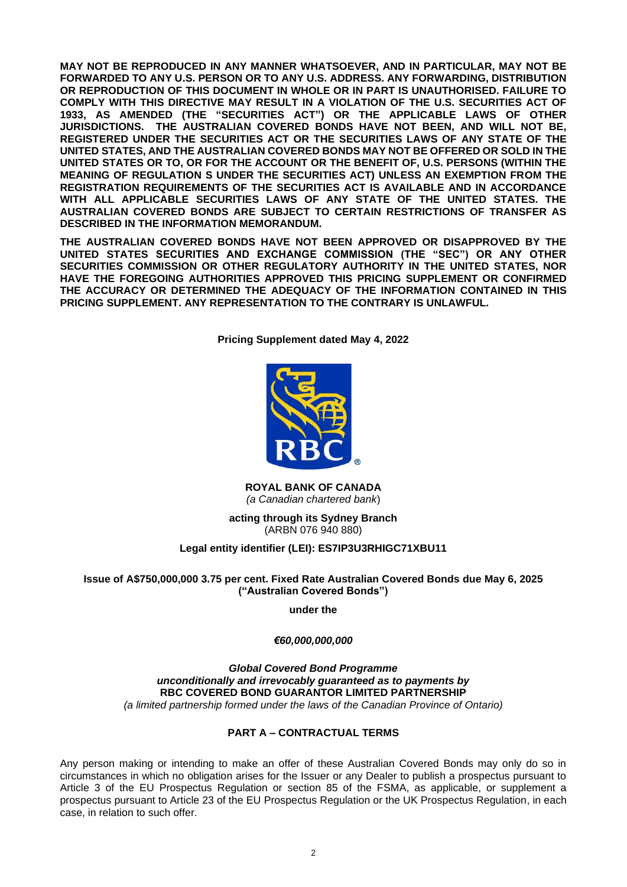**MAY NOT BE REPRODUCED IN ANY MANNER WHATSOEVER, AND IN PARTICULAR, MAY NOT BE FORWARDED TO ANY U.S. PERSON OR TO ANY U.S. ADDRESS. ANY FORWARDING, DISTRIBUTION OR REPRODUCTION OF THIS DOCUMENT IN WHOLE OR IN PART IS UNAUTHORISED. FAILURE TO COMPLY WITH THIS DIRECTIVE MAY RESULT IN A VIOLATION OF THE U.S. SECURITIES ACT OF 1933, AS AMENDED (THE "SECURITIES ACT") OR THE APPLICABLE LAWS OF OTHER JURISDICTIONS. THE AUSTRALIAN COVERED BONDS HAVE NOT BEEN, AND WILL NOT BE, REGISTERED UNDER THE SECURITIES ACT OR THE SECURITIES LAWS OF ANY STATE OF THE UNITED STATES, AND THE AUSTRALIAN COVERED BONDS MAY NOT BE OFFERED OR SOLD IN THE UNITED STATES OR TO, OR FOR THE ACCOUNT OR THE BENEFIT OF, U.S. PERSONS (WITHIN THE MEANING OF REGULATION S UNDER THE SECURITIES ACT) UNLESS AN EXEMPTION FROM THE REGISTRATION REQUIREMENTS OF THE SECURITIES ACT IS AVAILABLE AND IN ACCORDANCE WITH ALL APPLICABLE SECURITIES LAWS OF ANY STATE OF THE UNITED STATES. THE AUSTRALIAN COVERED BONDS ARE SUBJECT TO CERTAIN RESTRICTIONS OF TRANSFER AS DESCRIBED IN THE INFORMATION MEMORANDUM.**

**THE AUSTRALIAN COVERED BONDS HAVE NOT BEEN APPROVED OR DISAPPROVED BY THE UNITED STATES SECURITIES AND EXCHANGE COMMISSION (THE "SEC") OR ANY OTHER SECURITIES COMMISSION OR OTHER REGULATORY AUTHORITY IN THE UNITED STATES, NOR HAVE THE FOREGOING AUTHORITIES APPROVED THIS PRICING SUPPLEMENT OR CONFIRMED THE ACCURACY OR DETERMINED THE ADEQUACY OF THE INFORMATION CONTAINED IN THIS PRICING SUPPLEMENT. ANY REPRESENTATION TO THE CONTRARY IS UNLAWFUL.**

**Pricing Supplement dated May 4, 2022**



**ROYAL BANK OF CANADA** *(a Canadian chartered bank*)

**acting through its Sydney Branch** (ARBN 076 940 880)

# **Legal entity identifier (LEI): ES7IP3U3RHIGC71XBU11**

# **Issue of A\$750,000,000 3.75 per cent. Fixed Rate Australian Covered Bonds due May 6, 2025 ("Australian Covered Bonds")**

**under the**

# *€60,000,000,000*

*Global Covered Bond Programme unconditionally and irrevocably guaranteed as to payments by* **RBC COVERED BOND GUARANTOR LIMITED PARTNERSHIP** *(a limited partnership formed under the laws of the Canadian Province of Ontario)*

# **PART A – CONTRACTUAL TERMS**

Any person making or intending to make an offer of these Australian Covered Bonds may only do so in circumstances in which no obligation arises for the Issuer or any Dealer to publish a prospectus pursuant to Article 3 of the EU Prospectus Regulation or section 85 of the FSMA, as applicable, or supplement a prospectus pursuant to Article 23 of the EU Prospectus Regulation or the UK Prospectus Regulation, in each case, in relation to such offer.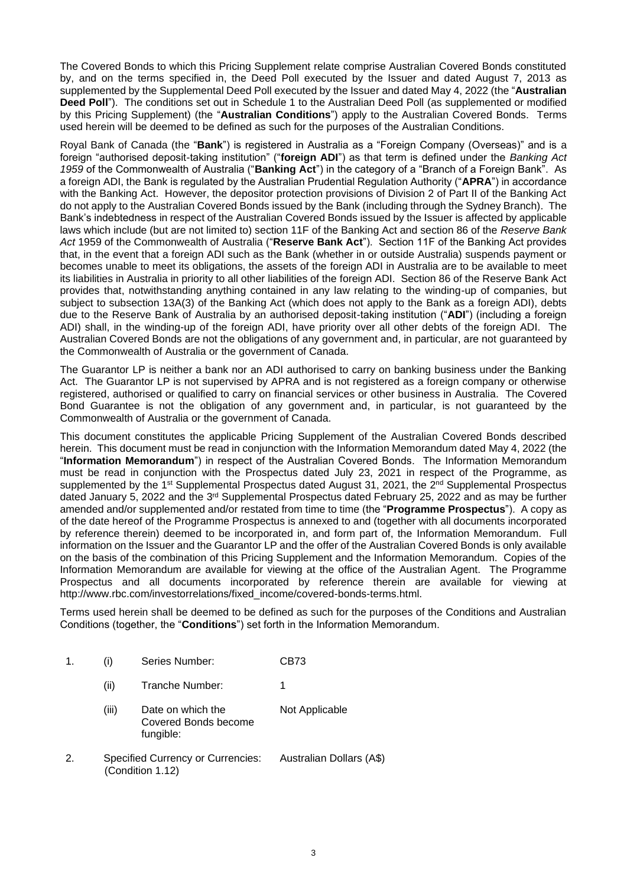The Covered Bonds to which this Pricing Supplement relate comprise Australian Covered Bonds constituted by, and on the terms specified in, the Deed Poll executed by the Issuer and dated August 7, 2013 as supplemented by the Supplemental Deed Poll executed by the Issuer and dated May 4, 2022 (the "**Australian Deed Poll**"). The conditions set out in Schedule 1 to the Australian Deed Poll (as supplemented or modified by this Pricing Supplement) (the "**Australian Conditions**") apply to the Australian Covered Bonds. Terms used herein will be deemed to be defined as such for the purposes of the Australian Conditions.

Royal Bank of Canada (the "**Bank**") is registered in Australia as a "Foreign Company (Overseas)" and is a foreign "authorised deposit-taking institution" ("**foreign ADI**") as that term is defined under the *Banking Act 1959* of the Commonwealth of Australia ("**Banking Act**") in the category of a "Branch of a Foreign Bank". As a foreign ADI, the Bank is regulated by the Australian Prudential Regulation Authority ("**APRA**") in accordance with the Banking Act. However, the depositor protection provisions of Division 2 of Part II of the Banking Act do not apply to the Australian Covered Bonds issued by the Bank (including through the Sydney Branch). The Bank's indebtedness in respect of the Australian Covered Bonds issued by the Issuer is affected by applicable laws which include (but are not limited to) section 11F of the Banking Act and section 86 of the *Reserve Bank Act* 1959 of the Commonwealth of Australia ("**Reserve Bank Act**"). Section 11F of the Banking Act provides that, in the event that a foreign ADI such as the Bank (whether in or outside Australia) suspends payment or becomes unable to meet its obligations, the assets of the foreign ADI in Australia are to be available to meet its liabilities in Australia in priority to all other liabilities of the foreign ADI. Section 86 of the Reserve Bank Act provides that, notwithstanding anything contained in any law relating to the winding-up of companies, but subject to subsection 13A(3) of the Banking Act (which does not apply to the Bank as a foreign ADI), debts due to the Reserve Bank of Australia by an authorised deposit-taking institution ("**ADI**") (including a foreign ADI) shall, in the winding-up of the foreign ADI, have priority over all other debts of the foreign ADI. The Australian Covered Bonds are not the obligations of any government and, in particular, are not guaranteed by the Commonwealth of Australia or the government of Canada.

The Guarantor LP is neither a bank nor an ADI authorised to carry on banking business under the Banking Act. The Guarantor LP is not supervised by APRA and is not registered as a foreign company or otherwise registered, authorised or qualified to carry on financial services or other business in Australia. The Covered Bond Guarantee is not the obligation of any government and, in particular, is not guaranteed by the Commonwealth of Australia or the government of Canada.

This document constitutes the applicable Pricing Supplement of the Australian Covered Bonds described herein. This document must be read in conjunction with the Information Memorandum dated May 4, 2022 (the "**Information Memorandum**") in respect of the Australian Covered Bonds. The Information Memorandum must be read in conjunction with the Prospectus dated July 23, 2021 in respect of the Programme, as supplemented by the 1<sup>st</sup> Supplemental Prospectus dated August 31, 2021, the 2<sup>nd</sup> Supplemental Prospectus dated January 5, 2022 and the 3<sup>rd</sup> Supplemental Prospectus dated February 25, 2022 and as may be further amended and/or supplemented and/or restated from time to time (the "**Programme Prospectus**"). A copy as of the date hereof of the Programme Prospectus is annexed to and (together with all documents incorporated by reference therein) deemed to be incorporated in, and form part of, the Information Memorandum. Full information on the Issuer and the Guarantor LP and the offer of the Australian Covered Bonds is only available on the basis of the combination of this Pricing Supplement and the Information Memorandum. Copies of the Information Memorandum are available for viewing at the office of the Australian Agent. The Programme Prospectus and all documents incorporated by reference therein are available for viewing at http://www.rbc.com/investorrelations/fixed\_income/covered-bonds-terms.html.

Terms used herein shall be deemed to be defined as such for the purposes of the Conditions and Australian Conditions (together, the "**Conditions**") set forth in the Information Memorandum.

| 1. | (i)   | Series Number:                                               | CB73                     |
|----|-------|--------------------------------------------------------------|--------------------------|
|    | (ii)  | Tranche Number:                                              |                          |
|    | (iii) | Date on which the<br>Covered Bonds become<br>fungible:       | Not Applicable           |
| 2. |       | <b>Specified Currency or Currencies:</b><br>(Condition 1.12) | Australian Dollars (A\$) |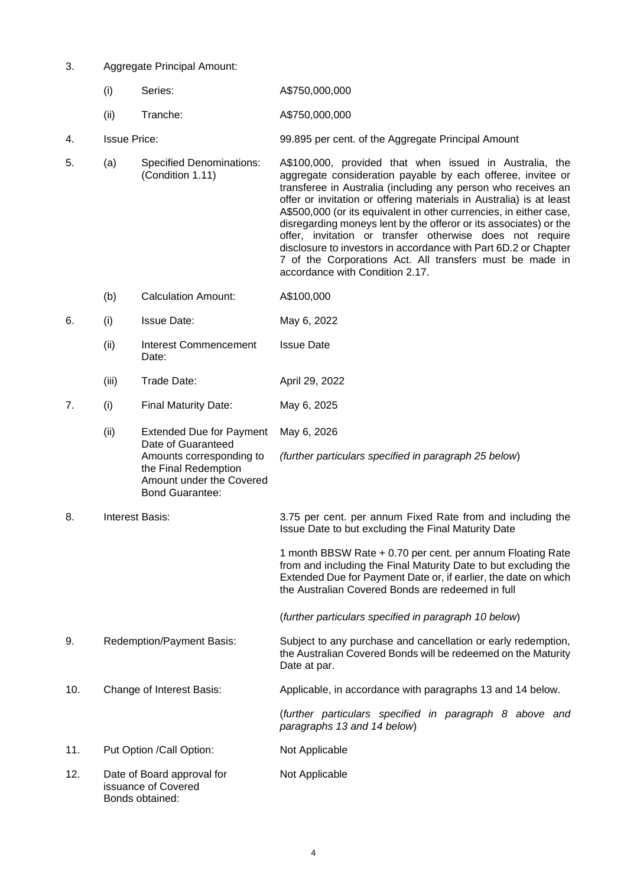- 3. Aggregate Principal Amount:
	- (i) Series: A\$750,000,000
	- (ii) Tranche: A\$750,000,000
- 4. Issue Price: 99.895 per cent. of the Aggregate Principal Amount
- 5. (a) Specified Denominations: (Condition 1.11) A\$100,000, provided that when issued in Australia, the aggregate consideration payable by each offeree, invitee or transferee in Australia (including any person who receives an offer or invitation or offering materials in Australia) is at least A\$500,000 (or its equivalent in other currencies, in either case, disregarding moneys lent by the offeror or its associates) or the offer, invitation or transfer otherwise does not require disclosure to investors in accordance with Part 6D.2 or Chapter 7 of the Corporations Act. All transfers must be made in accordance with Condition 2.17.
	- (b) Calculation Amount: A\$100,000
- 6. (i) Issue Date: May 6, 2022
	- (ii) Interest Commencement Date: Issue Date
	- (iii) Trade Date: April 29, 2022
- 7. (i) Final Maturity Date: May 6, 2025

the Final Redemption Amount under the Covered

- (ii) Extended Due for Payment Date of Guaranteed Amounts corresponding to May 6, 2026 *(further particulars specified in paragraph 25 below*)
- Bond Guarantee: 8. Interest Basis: 3.75 per cent. per annum Fixed Rate from and including the Issue Date to but excluding the Final Maturity Date

1 month BBSW Rate + 0.70 per cent. per annum Floating Rate from and including the Final Maturity Date to but excluding the Extended Due for Payment Date or, if earlier, the date on which the Australian Covered Bonds are redeemed in full

(*further particulars specified in paragraph 10 below*)

- 9. Redemption/Payment Basis: Subject to any purchase and cancellation or early redemption, the Australian Covered Bonds will be redeemed on the Maturity Date at par.
- 10. Change of Interest Basis: Applicable, in accordance with paragraphs 13 and 14 below.

(*further particulars specified in paragraph 8 above and paragraphs 13 and 14 below*)

- 11. Put Option /Call Option: Not Applicable
- 12. Date of Board approval for issuance of Covered Bonds obtained: Not Applicable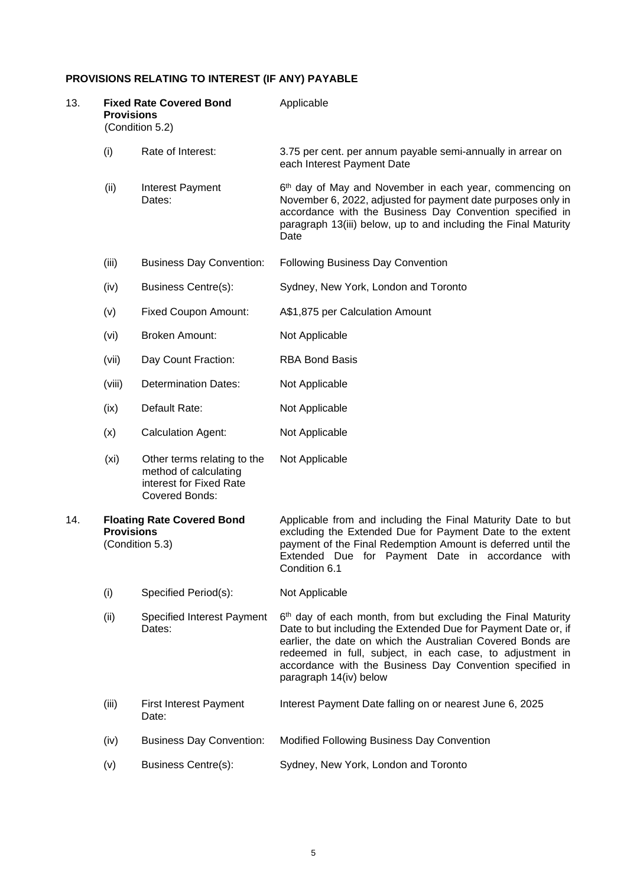# **PROVISIONS RELATING TO INTEREST (IF ANY) PAYABLE**

| 13. | <b>Provisions</b> | <b>Fixed Rate Covered Bond</b><br>(Condition 5.2)                                                        | Applicable                                                                                                                                                                                                                                                                                                                                       |
|-----|-------------------|----------------------------------------------------------------------------------------------------------|--------------------------------------------------------------------------------------------------------------------------------------------------------------------------------------------------------------------------------------------------------------------------------------------------------------------------------------------------|
|     | (i)               | Rate of Interest:                                                                                        | 3.75 per cent. per annum payable semi-annually in arrear on<br>each Interest Payment Date                                                                                                                                                                                                                                                        |
|     | (ii)              | Interest Payment<br>Dates:                                                                               | 6 <sup>th</sup> day of May and November in each year, commencing on<br>November 6, 2022, adjusted for payment date purposes only in<br>accordance with the Business Day Convention specified in<br>paragraph 13(iii) below, up to and including the Final Maturity<br>Date                                                                       |
|     | (iii)             | <b>Business Day Convention:</b>                                                                          | Following Business Day Convention                                                                                                                                                                                                                                                                                                                |
|     | (iv)              | <b>Business Centre(s):</b>                                                                               | Sydney, New York, London and Toronto                                                                                                                                                                                                                                                                                                             |
|     | (v)               | <b>Fixed Coupon Amount:</b>                                                                              | A\$1,875 per Calculation Amount                                                                                                                                                                                                                                                                                                                  |
|     | (vi)              | <b>Broken Amount:</b>                                                                                    | Not Applicable                                                                                                                                                                                                                                                                                                                                   |
|     | (vii)             | Day Count Fraction:                                                                                      | <b>RBA Bond Basis</b>                                                                                                                                                                                                                                                                                                                            |
|     | (viii)            | <b>Determination Dates:</b>                                                                              | Not Applicable                                                                                                                                                                                                                                                                                                                                   |
|     | (ix)              | Default Rate:                                                                                            | Not Applicable                                                                                                                                                                                                                                                                                                                                   |
|     | (x)               | <b>Calculation Agent:</b>                                                                                | Not Applicable                                                                                                                                                                                                                                                                                                                                   |
|     | (x <sub>i</sub> ) | Other terms relating to the<br>method of calculating<br>interest for Fixed Rate<br><b>Covered Bonds:</b> | Not Applicable                                                                                                                                                                                                                                                                                                                                   |
| 14. | <b>Provisions</b> | <b>Floating Rate Covered Bond</b><br>(Condition 5.3)                                                     | Applicable from and including the Final Maturity Date to but<br>excluding the Extended Due for Payment Date to the extent<br>payment of the Final Redemption Amount is deferred until the<br>Extended Due for Payment Date in accordance with<br>Condition 6.1                                                                                   |
|     | (i)               | Specified Period(s):                                                                                     | Not Applicable                                                                                                                                                                                                                                                                                                                                   |
|     | (ii)              | <b>Specified Interest Payment</b><br>Dates:                                                              | 6th day of each month, from but excluding the Final Maturity<br>Date to but including the Extended Due for Payment Date or, if<br>earlier, the date on which the Australian Covered Bonds are<br>redeemed in full, subject, in each case, to adjustment in<br>accordance with the Business Day Convention specified in<br>paragraph 14(iv) below |
|     | (iii)             | <b>First Interest Payment</b><br>Date:                                                                   | Interest Payment Date falling on or nearest June 6, 2025                                                                                                                                                                                                                                                                                         |
|     | (iv)              | <b>Business Day Convention:</b>                                                                          | Modified Following Business Day Convention                                                                                                                                                                                                                                                                                                       |
|     | (v)               | <b>Business Centre(s):</b>                                                                               | Sydney, New York, London and Toronto                                                                                                                                                                                                                                                                                                             |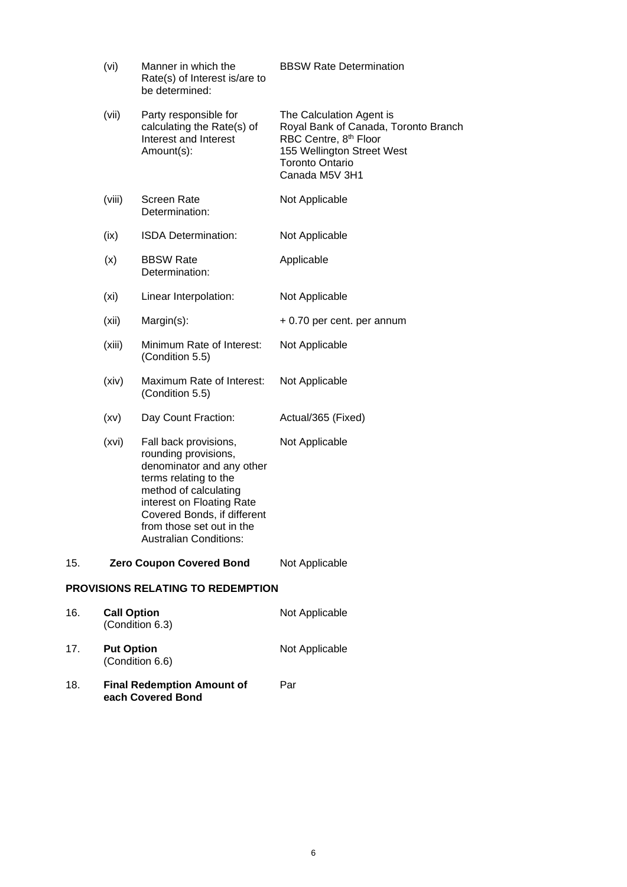|     | (vi)               | Manner in which the<br>Rate(s) of Interest is/are to<br>be determined:                                                                                                                                                                                 | <b>BBSW Rate Determination</b>                                                                                                                                                  |
|-----|--------------------|--------------------------------------------------------------------------------------------------------------------------------------------------------------------------------------------------------------------------------------------------------|---------------------------------------------------------------------------------------------------------------------------------------------------------------------------------|
|     | (vii)              | Party responsible for<br>calculating the Rate(s) of<br>Interest and Interest<br>Amount(s):                                                                                                                                                             | The Calculation Agent is<br>Royal Bank of Canada, Toronto Branch<br>RBC Centre, 8 <sup>th</sup> Floor<br>155 Wellington Street West<br><b>Toronto Ontario</b><br>Canada M5V 3H1 |
|     | (viii)             | <b>Screen Rate</b><br>Determination:                                                                                                                                                                                                                   | Not Applicable                                                                                                                                                                  |
|     | (ix)               | ISDA Determination:                                                                                                                                                                                                                                    | Not Applicable                                                                                                                                                                  |
|     | (x)                | <b>BBSW Rate</b><br>Determination:                                                                                                                                                                                                                     | Applicable                                                                                                                                                                      |
|     | (xi)               | Linear Interpolation:                                                                                                                                                                                                                                  | Not Applicable                                                                                                                                                                  |
|     | (xii)              | Margin(s):                                                                                                                                                                                                                                             | + 0.70 per cent. per annum                                                                                                                                                      |
|     | (xiii)             | Minimum Rate of Interest:<br>(Condition 5.5)                                                                                                                                                                                                           | Not Applicable                                                                                                                                                                  |
|     | (xiv)              | Maximum Rate of Interest:<br>(Condition 5.5)                                                                                                                                                                                                           | Not Applicable                                                                                                                                                                  |
|     | (xv)               | Day Count Fraction:                                                                                                                                                                                                                                    | Actual/365 (Fixed)                                                                                                                                                              |
|     | (xvi)              | Fall back provisions,<br>rounding provisions,<br>denominator and any other<br>terms relating to the<br>method of calculating<br>interest on Floating Rate<br>Covered Bonds, if different<br>from those set out in the<br><b>Australian Conditions:</b> | Not Applicable                                                                                                                                                                  |
| 15. |                    | <b>Zero Coupon Covered Bond</b>                                                                                                                                                                                                                        | Not Applicable                                                                                                                                                                  |
|     |                    | <b>PROVISIONS RELATING TO REDEMPTION</b>                                                                                                                                                                                                               |                                                                                                                                                                                 |
| 16. | <b>Call Option</b> | (Condition 6.3)                                                                                                                                                                                                                                        | Not Applicable                                                                                                                                                                  |
| 17. | <b>Put Option</b>  | (Condition 6.6)                                                                                                                                                                                                                                        | Not Applicable                                                                                                                                                                  |
| 18. |                    | <b>Final Redemption Amount of</b><br>each Covered Bond                                                                                                                                                                                                 | Par                                                                                                                                                                             |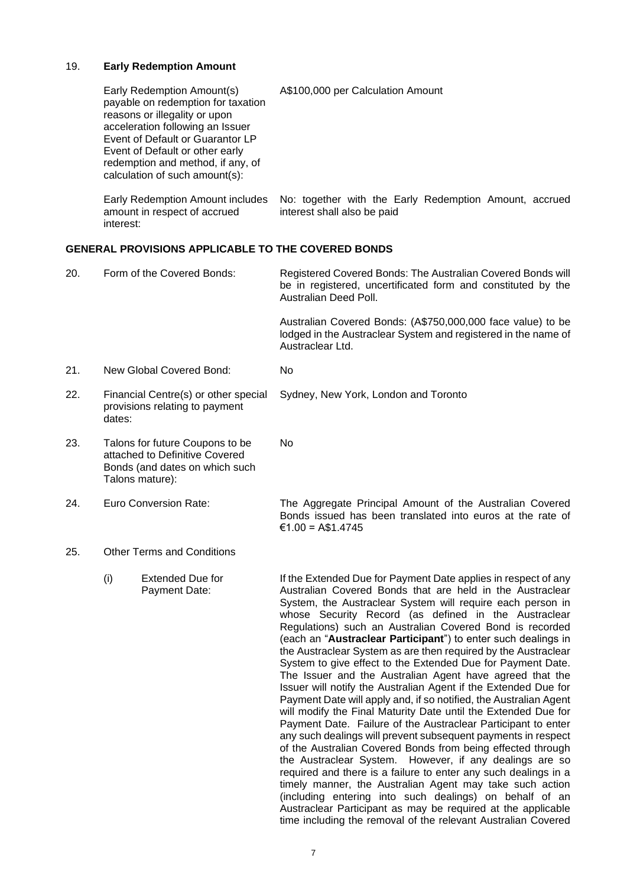# 19. **Early Redemption Amount**

|     |           | Early Redemption Amount(s)<br>payable on redemption for taxation<br>reasons or illegality or upon<br>acceleration following an Issuer<br>Event of Default or Guarantor LP<br>Event of Default or other early<br>redemption and method, if any, of<br>calculation of such amount(s): | A\$100,000 per Calculation Amount                                                                                                                                                                                                                                                                                                                                                                                                                                                                                                                                                                                                                                                                                                                                                                                                                                                                                                                                                                                                                                                                                                                                                                                                           |
|-----|-----------|-------------------------------------------------------------------------------------------------------------------------------------------------------------------------------------------------------------------------------------------------------------------------------------|---------------------------------------------------------------------------------------------------------------------------------------------------------------------------------------------------------------------------------------------------------------------------------------------------------------------------------------------------------------------------------------------------------------------------------------------------------------------------------------------------------------------------------------------------------------------------------------------------------------------------------------------------------------------------------------------------------------------------------------------------------------------------------------------------------------------------------------------------------------------------------------------------------------------------------------------------------------------------------------------------------------------------------------------------------------------------------------------------------------------------------------------------------------------------------------------------------------------------------------------|
|     | interest: | Early Redemption Amount includes<br>amount in respect of accrued                                                                                                                                                                                                                    | No: together with the Early Redemption Amount, accrued<br>interest shall also be paid                                                                                                                                                                                                                                                                                                                                                                                                                                                                                                                                                                                                                                                                                                                                                                                                                                                                                                                                                                                                                                                                                                                                                       |
|     |           | GENERAL PROVISIONS APPLICABLE TO THE COVERED BONDS                                                                                                                                                                                                                                  |                                                                                                                                                                                                                                                                                                                                                                                                                                                                                                                                                                                                                                                                                                                                                                                                                                                                                                                                                                                                                                                                                                                                                                                                                                             |
| 20. |           | Form of the Covered Bonds:                                                                                                                                                                                                                                                          | Registered Covered Bonds: The Australian Covered Bonds will<br>be in registered, uncertificated form and constituted by the<br>Australian Deed Poll.                                                                                                                                                                                                                                                                                                                                                                                                                                                                                                                                                                                                                                                                                                                                                                                                                                                                                                                                                                                                                                                                                        |
|     |           |                                                                                                                                                                                                                                                                                     | Australian Covered Bonds: (A\$750,000,000 face value) to be<br>lodged in the Austraclear System and registered in the name of<br>Austraclear Ltd.                                                                                                                                                                                                                                                                                                                                                                                                                                                                                                                                                                                                                                                                                                                                                                                                                                                                                                                                                                                                                                                                                           |
| 21. |           | New Global Covered Bond:                                                                                                                                                                                                                                                            | No                                                                                                                                                                                                                                                                                                                                                                                                                                                                                                                                                                                                                                                                                                                                                                                                                                                                                                                                                                                                                                                                                                                                                                                                                                          |
| 22. | dates:    | Financial Centre(s) or other special<br>provisions relating to payment                                                                                                                                                                                                              | Sydney, New York, London and Toronto                                                                                                                                                                                                                                                                                                                                                                                                                                                                                                                                                                                                                                                                                                                                                                                                                                                                                                                                                                                                                                                                                                                                                                                                        |
| 23. |           | Talons for future Coupons to be<br>attached to Definitive Covered<br>Bonds (and dates on which such<br>Talons mature):                                                                                                                                                              | No                                                                                                                                                                                                                                                                                                                                                                                                                                                                                                                                                                                                                                                                                                                                                                                                                                                                                                                                                                                                                                                                                                                                                                                                                                          |
| 24. |           | Euro Conversion Rate:                                                                                                                                                                                                                                                               | The Aggregate Principal Amount of the Australian Covered<br>Bonds issued has been translated into euros at the rate of<br>€1.00 = A\$1.4745                                                                                                                                                                                                                                                                                                                                                                                                                                                                                                                                                                                                                                                                                                                                                                                                                                                                                                                                                                                                                                                                                                 |
| 25. |           | <b>Other Terms and Conditions</b>                                                                                                                                                                                                                                                   |                                                                                                                                                                                                                                                                                                                                                                                                                                                                                                                                                                                                                                                                                                                                                                                                                                                                                                                                                                                                                                                                                                                                                                                                                                             |
|     | (i)       | <b>Extended Due for</b><br>Payment Date:                                                                                                                                                                                                                                            | If the Extended Due for Payment Date applies in respect of any<br>Australian Covered Bonds that are held in the Austraclear<br>System, the Austraclear System will require each person in<br>whose Security Record (as defined in the Austraclear<br>Regulations) such an Australian Covered Bond is recorded<br>(each an "Austraclear Participant") to enter such dealings in<br>the Austraclear System as are then required by the Austraclear<br>System to give effect to the Extended Due for Payment Date.<br>The Issuer and the Australian Agent have agreed that the<br>Issuer will notify the Australian Agent if the Extended Due for<br>Payment Date will apply and, if so notified, the Australian Agent<br>will modify the Final Maturity Date until the Extended Due for<br>Payment Date. Failure of the Austraclear Participant to enter<br>any such dealings will prevent subsequent payments in respect<br>of the Australian Covered Bonds from being effected through<br>the Austraclear System. However, if any dealings are so<br>required and there is a failure to enter any such dealings in a<br>timely manner, the Australian Agent may take such action<br>(including entering into such dealings) on behalf of an |

Austraclear Participant as may be required at the applicable time including the removal of the relevant Australian Covered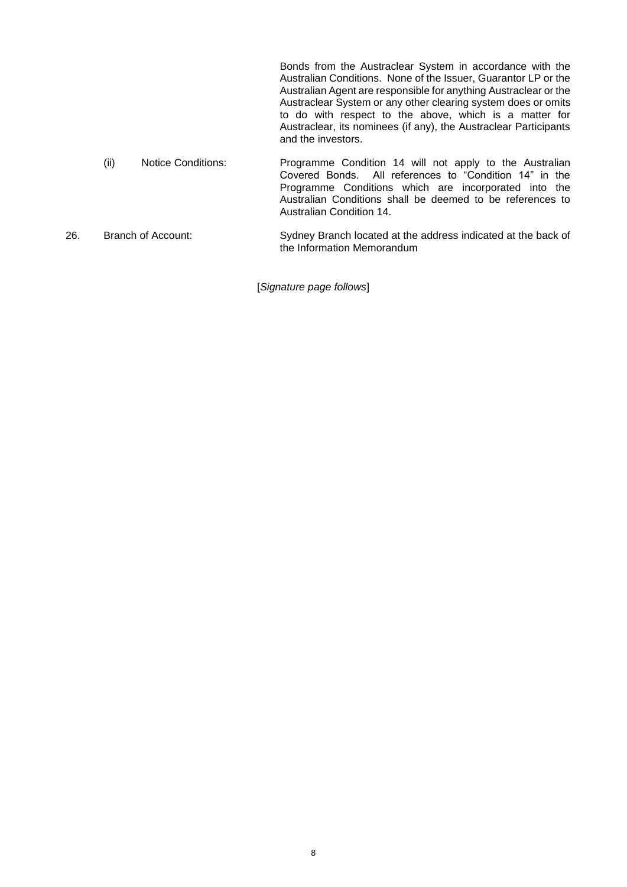Bonds from the Austraclear System in accordance with the Australian Conditions. None of the Issuer, Guarantor LP or the Australian Agent are responsible for anything Austraclear or the Austraclear System or any other clearing system does or omits to do with respect to the above, which is a matter for Austraclear, its nominees (if any), the Austraclear Participants and the investors. (ii) Notice Conditions: Programme Condition 14 will not apply to the Australian Covered Bonds. All references to "Condition 14" in the Programme Conditions which are incorporated into the Australian Conditions shall be deemed to be references to Australian Condition 14.

26. Branch of Account: Sydney Branch located at the address indicated at the back of the Information Memorandum

[*Signature page follows*]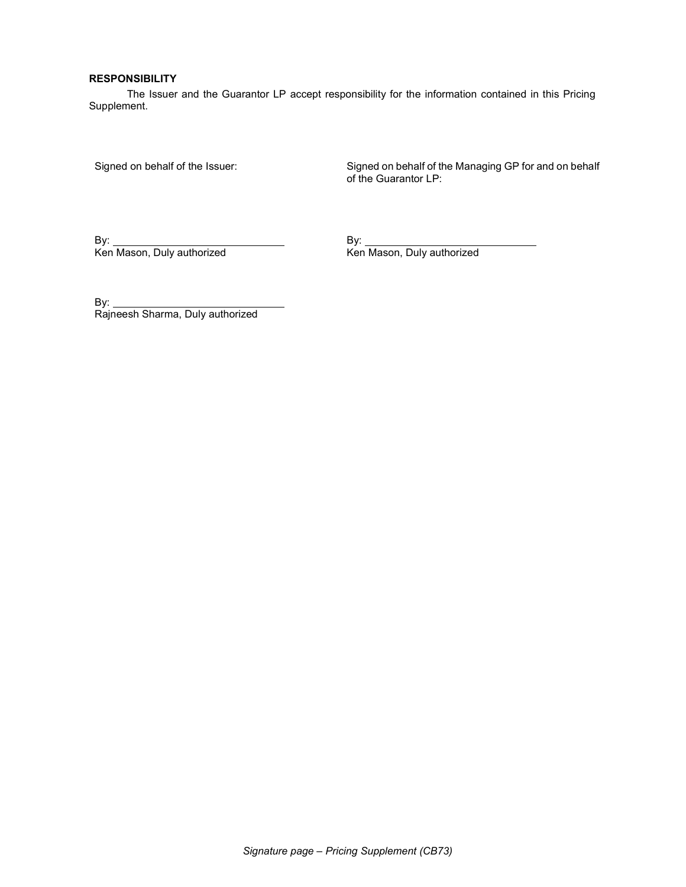#### RESPONSIBILITY

The Issuer and the Guarantor LP accept responsibility for the information contained in this Pricing Supplement.

Signed on behalf of the Issuer: Signed on behalf of the Managing GP for and on behalf of the Guarantor LP:

By: By:

Ken Mason, Duly authorized

By:  $\overline{\phantom{0}}$ Rajneesh Sharma, Duly authorized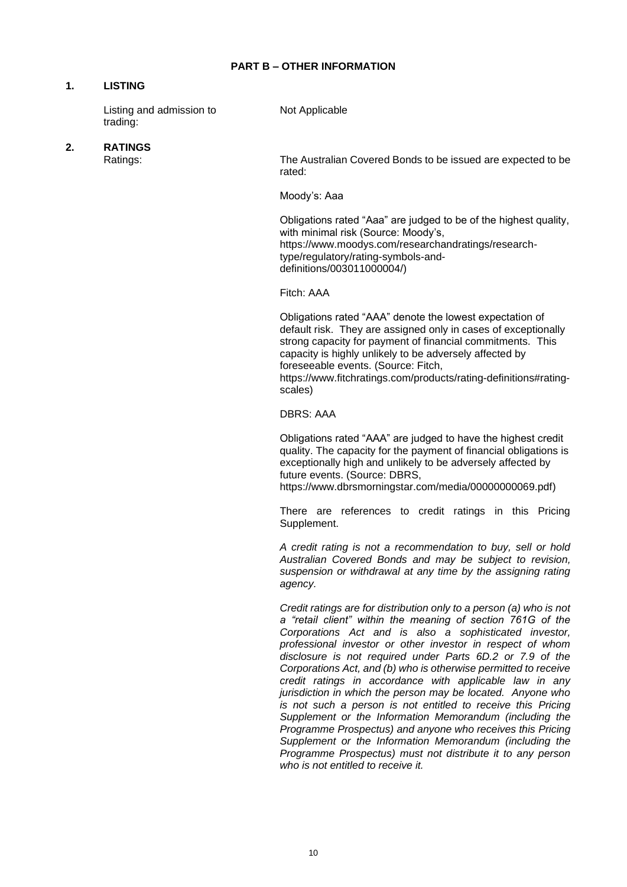# **1. LISTING**

Listing and admission to trading:

Not Applicable

# **2. RATINGS**

The Australian Covered Bonds to be issued are expected to be rated:

Moody's: Aaa

Obligations rated "Aaa" are judged to be of the highest quality, with minimal risk (Source: Moody's, https://www.moodys.com/researchandratings/researchtype/regulatory/rating-symbols-anddefinitions/003011000004/)

Fitch: AAA

Obligations rated "AAA" denote the lowest expectation of default risk. They are assigned only in cases of exceptionally strong capacity for payment of financial commitments. This capacity is highly unlikely to be adversely affected by foreseeable events. (Source: Fitch,

https://www.fitchratings.com/products/rating-definitions#ratingscales)

DBRS: AAA

Obligations rated "AAA" are judged to have the highest credit quality. The capacity for the payment of financial obligations is exceptionally high and unlikely to be adversely affected by future events. (Source: DBRS, https://www.dbrsmorningstar.com/media/00000000069.pdf)

There are references to credit ratings in this Pricing Supplement.

*A credit rating is not a recommendation to buy, sell or hold Australian Covered Bonds and may be subject to revision, suspension or withdrawal at any time by the assigning rating agency.*

*Credit ratings are for distribution only to a person (a) who is not a "retail client" within the meaning of section 761G of the Corporations Act and is also a sophisticated investor, professional investor or other investor in respect of whom disclosure is not required under Parts 6D.2 or 7.9 of the Corporations Act, and (b) who is otherwise permitted to receive credit ratings in accordance with applicable law in any jurisdiction in which the person may be located. Anyone who is not such a person is not entitled to receive this Pricing Supplement or the Information Memorandum (including the Programme Prospectus) and anyone who receives this Pricing Supplement or the Information Memorandum (including the Programme Prospectus) must not distribute it to any person who is not entitled to receive it.*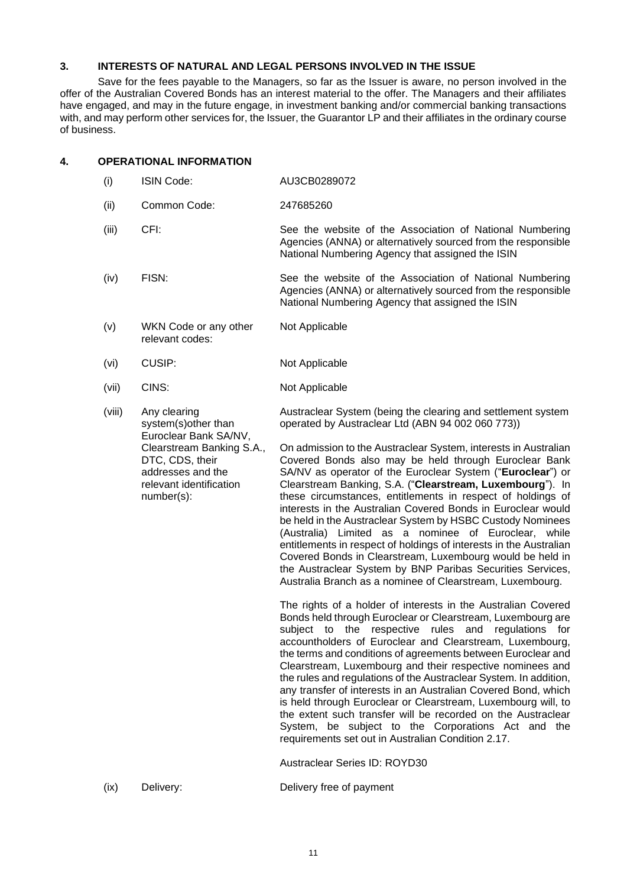# **3. INTERESTS OF NATURAL AND LEGAL PERSONS INVOLVED IN THE ISSUE**

Save for the fees payable to the Managers, so far as the Issuer is aware, no person involved in the offer of the Australian Covered Bonds has an interest material to the offer. The Managers and their affiliates have engaged, and may in the future engage, in investment banking and/or commercial banking transactions with, and may perform other services for, the Issuer, the Guarantor LP and their affiliates in the ordinary course of business.

## **4. OPERATIONAL INFORMATION**

- (i) ISIN Code: AU3CB0289072 (ii) Common Code: 247685260 (iii) CFI: See the website of the Association of National Numbering Agencies (ANNA) or alternatively sourced from the responsible National Numbering Agency that assigned the ISIN (iv) FISN: See the website of the Association of National Numbering Agencies (ANNA) or alternatively sourced from the responsible National Numbering Agency that assigned the ISIN (v) WKN Code or any other relevant codes: Not Applicable (vi) CUSIP: Not Applicable (vii) CINS: Not Applicable (viii) Any clearing system(s)other than Euroclear Bank SA/NV, Clearstream Banking S.A., DTC, CDS, their addresses and the relevant identification number(s): Austraclear System (being the clearing and settlement system operated by Austraclear Ltd (ABN 94 002 060 773)) On admission to the Austraclear System, interests in Australian Covered Bonds also may be held through Euroclear Bank SA/NV as operator of the Euroclear System ("**Euroclear**") or Clearstream Banking, S.A. ("**Clearstream, Luxembourg**"). In these circumstances, entitlements in respect of holdings of interests in the Australian Covered Bonds in Euroclear would be held in the Austraclear System by HSBC Custody Nominees (Australia) Limited as a nominee of Euroclear, while entitlements in respect of holdings of interests in the Australian Covered Bonds in Clearstream, Luxembourg would be held in the Austraclear System by BNP Paribas Securities Services, Australia Branch as a nominee of Clearstream, Luxembourg. The rights of a holder of interests in the Australian Covered Bonds held through Euroclear or Clearstream, Luxembourg are subject to the respective rules and regulations for accountholders of Euroclear and Clearstream, Luxembourg, the terms and conditions of agreements between Euroclear and Clearstream, Luxembourg and their respective nominees and the rules and regulations of the Austraclear System. In addition, any transfer of interests in an Australian Covered Bond, which is held through Euroclear or Clearstream, Luxembourg will, to the extent such transfer will be recorded on the Austraclear System, be subject to the Corporations Act and the requirements set out in Australian Condition 2.17. Austraclear Series ID: ROYD30
- (ix) Delivery: Delivery free of payment